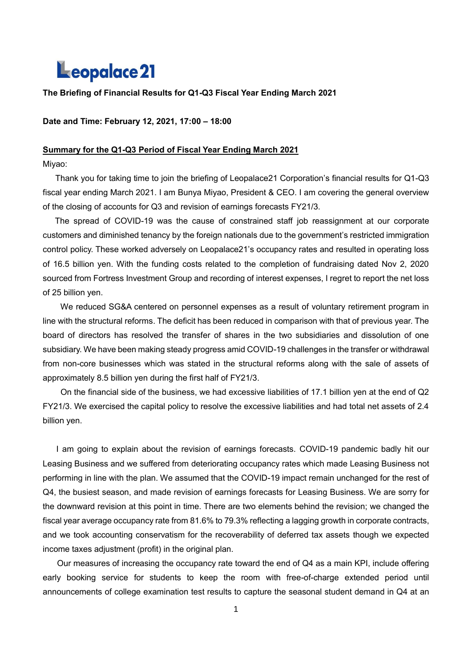# Leopalace 21

# **The Briefing of Financial Results for Q1-Q3 Fiscal Year Ending March 2021**

**Date and Time: February 12, 2021, 17:00 – 18:00**

#### **Summary for the Q1-Q3 Period of Fiscal Year Ending March 2021**

Miyao:

Thank you for taking time to join the briefing of Leopalace21 Corporation's financial results for Q1-Q3 fiscal year ending March 2021. I am Bunya Miyao, President & CEO. I am covering the general overview of the closing of accounts for Q3 and revision of earnings forecasts FY21/3.

 The spread of COVID-19 was the cause of constrained staff job reassignment at our corporate customers and diminished tenancy by the foreign nationals due to the government's restricted immigration control policy. These worked adversely on Leopalace21's occupancy rates and resulted in operating loss of 16.5 billion yen. With the funding costs related to the completion of fundraising dated Nov 2, 2020 sourced from Fortress Investment Group and recording of interest expenses, I regret to report the net loss of 25 billion yen.

 We reduced SG&A centered on personnel expenses as a result of voluntary retirement program in line with the structural reforms. The deficit has been reduced in comparison with that of previous year. The board of directors has resolved the transfer of shares in the two subsidiaries and dissolution of one subsidiary. We have been making steady progress amid COVID-19 challenges in the transfer or withdrawal from non-core businesses which was stated in the structural reforms along with the sale of assets of approximately 8.5 billion yen during the first half of FY21/3.

 On the financial side of the business, we had excessive liabilities of 17.1 billion yen at the end of Q2 FY21/3. We exercised the capital policy to resolve the excessive liabilities and had total net assets of 2.4 billion yen.

 I am going to explain about the revision of earnings forecasts. COVID-19 pandemic badly hit our Leasing Business and we suffered from deteriorating occupancy rates which made Leasing Business not performing in line with the plan. We assumed that the COVID-19 impact remain unchanged for the rest of Q4, the busiest season, and made revision of earnings forecasts for Leasing Business. We are sorry for the downward revision at this point in time. There are two elements behind the revision; we changed the fiscal year average occupancy rate from 81.6% to 79.3% reflecting a lagging growth in corporate contracts, and we took accounting conservatism for the recoverability of deferred tax assets though we expected income taxes adjustment (profit) in the original plan.

Our measures of increasing the occupancy rate toward the end of Q4 as a main KPI, include offering early booking service for students to keep the room with free-of-charge extended period until announcements of college examination test results to capture the seasonal student demand in Q4 at an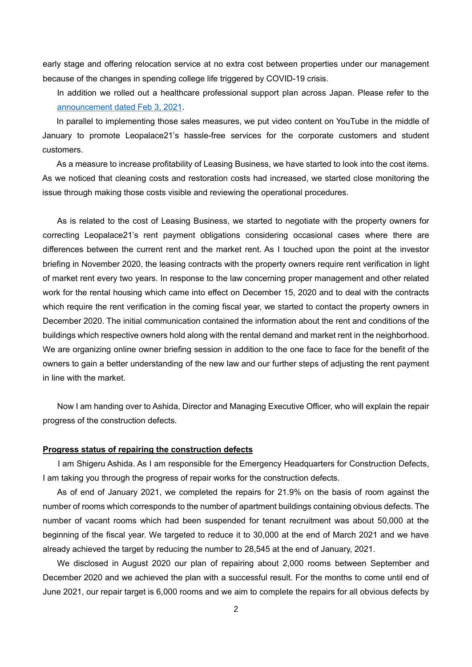early stage and offering relocation service at no extra cost between properties under our management because of the changes in spending college life triggered by COVID-19 crisis.

In addition we rolled out a healthcare professional support plan across Japan. Please refer to the [announcement dated Feb 3, 2021.](http://eg.leopalace21.com/ir/news/2021/pdf/0203.pdf)

In parallel to implementing those sales measures, we put video content on YouTube in the middle of January to promote Leopalace21's hassle-free services for the corporate customers and student customers.

As a measure to increase profitability of Leasing Business, we have started to look into the cost items. As we noticed that cleaning costs and restoration costs had increased, we started close monitoring the issue through making those costs visible and reviewing the operational procedures.

As is related to the cost of Leasing Business, we started to negotiate with the property owners for correcting Leopalace21's rent payment obligations considering occasional cases where there are differences between the current rent and the market rent. As I touched upon the point at the investor briefing in November 2020, the leasing contracts with the property owners require rent verification in light of market rent every two years. In response to the law concerning proper management and other related work for the rental housing which came into effect on December 15, 2020 and to deal with the contracts which require the rent verification in the coming fiscal year, we started to contact the property owners in December 2020. The initial communication contained the information about the rent and conditions of the buildings which respective owners hold along with the rental demand and market rent in the neighborhood. We are organizing online owner briefing session in addition to the one face to face for the benefit of the owners to gain a better understanding of the new law and our further steps of adjusting the rent payment in line with the market.

Now I am handing over to Ashida, Director and Managing Executive Officer, who will explain the repair progress of the construction defects.

## **Progress status of repairing the construction defects**

I am Shigeru Ashida. As I am responsible for the Emergency Headquarters for Construction Defects, I am taking you through the progress of repair works for the construction defects.

As of end of January 2021, we completed the repairs for 21.9% on the basis of room against the number of rooms which corresponds to the number of apartment buildings containing obvious defects. The number of vacant rooms which had been suspended for tenant recruitment was about 50,000 at the beginning of the fiscal year. We targeted to reduce it to 30,000 at the end of March 2021 and we have already achieved the target by reducing the number to 28,545 at the end of January, 2021.

We disclosed in August 2020 our plan of repairing about 2,000 rooms between September and December 2020 and we achieved the plan with a successful result. For the months to come until end of June 2021, our repair target is 6,000 rooms and we aim to complete the repairs for all obvious defects by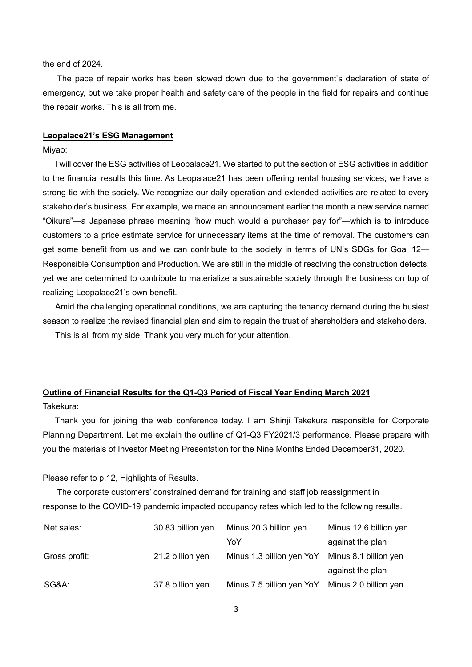the end of 2024.

The pace of repair works has been slowed down due to the government's declaration of state of emergency, but we take proper health and safety care of the people in the field for repairs and continue the repair works. This is all from me.

#### **Leopalace21's ESG Management**

Miyao:

 I will cover the ESG activities of Leopalace21. We started to put the section of ESG activities in addition to the financial results this time. As Leopalace21 has been offering rental housing services, we have a strong tie with the society. We recognize our daily operation and extended activities are related to every stakeholder's business. For example, we made an announcement earlier the month a new service named "Oikura"—a Japanese phrase meaning "how much would a purchaser pay for"—which is to introduce customers to a price estimate service for unnecessary items at the time of removal. The customers can get some benefit from us and we can contribute to the society in terms of UN's SDGs for Goal 12— Responsible Consumption and Production. We are still in the middle of resolving the construction defects, yet we are determined to contribute to materialize a sustainable society through the business on top of realizing Leopalace21's own benefit.

 Amid the challenging operational conditions, we are capturing the tenancy demand during the busiest season to realize the revised financial plan and aim to regain the trust of shareholders and stakeholders. This is all from my side. Thank you very much for your attention.

# **Outline of Financial Results for the Q1-Q3 Period of Fiscal Year Ending March 2021**

Takekura:

Thank you for joining the web conference today. I am Shinji Takekura responsible for Corporate Planning Department. Let me explain the outline of Q1-Q3 FY2021/3 performance. Please prepare with you the materials of Investor Meeting Presentation for the Nine Months Ended December31, 2020.

Please refer to p.12, Highlights of Results.

The corporate customers' constrained demand for training and staff job reassignment in response to the COVID-19 pandemic impacted occupancy rates which led to the following results.

| Net sales:    | 30.83 billion yen | Minus 20.3 billion yen                          | Minus 12.6 billion yen |
|---------------|-------------------|-------------------------------------------------|------------------------|
|               |                   | YoY                                             | against the plan       |
| Gross profit: | 21.2 billion yen  | Minus 1.3 billion yen YoY                       | Minus 8.1 billion yen  |
|               |                   |                                                 | against the plan       |
| SG&A:         | 37.8 billion yen  | Minus 7.5 billion yen YoY Minus 2.0 billion yen |                        |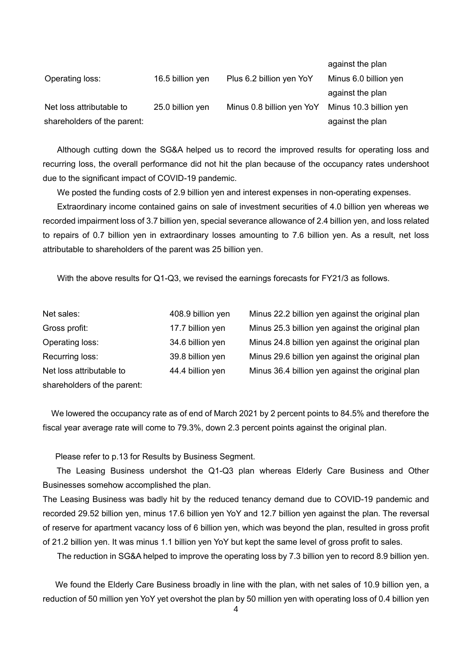|                             |                  |                           | against the plan       |
|-----------------------------|------------------|---------------------------|------------------------|
| Operating loss:             | 16.5 billion yen | Plus 6.2 billion yen YoY  | Minus 6.0 billion yen  |
|                             |                  |                           | against the plan       |
| Net loss attributable to    | 25.0 billion yen | Minus 0.8 billion yen YoY | Minus 10.3 billion yen |
| shareholders of the parent: |                  |                           | against the plan       |

Although cutting down the SG&A helped us to record the improved results for operating loss and recurring loss, the overall performance did not hit the plan because of the occupancy rates undershoot due to the significant impact of COVID-19 pandemic.

We posted the funding costs of 2.9 billion yen and interest expenses in non-operating expenses.

Extraordinary income contained gains on sale of investment securities of 4.0 billion yen whereas we recorded impairment loss of 3.7 billion yen, special severance allowance of 2.4 billion yen, and loss related to repairs of 0.7 billion yen in extraordinary losses amounting to 7.6 billion yen. As a result, net loss attributable to shareholders of the parent was 25 billion yen.

With the above results for Q1-Q3, we revised the earnings forecasts for FY21/3 as follows.

| Net sales:                  | 408.9 billion yen |
|-----------------------------|-------------------|
| Gross profit:               | 17.7 billion yen  |
| Operating loss:             | 34.6 billion yen  |
| Recurring loss:             | 39.8 billion yen  |
| Net loss attributable to    | 44.4 billion yen  |
| shareholders of the parent: |                   |

Minus 22.2 billion yen against the original plan Minus 25.3 billion yen against the original plan Minus 24.8 billion yen against the original plan Minus 29.6 billion yen against the original plan Minus 36.4 billion yen against the original plan

We lowered the occupancy rate as of end of March 2021 by 2 percent points to 84.5% and therefore the fiscal year average rate will come to 79.3%, down 2.3 percent points against the original plan.

Please refer to p.13 for Results by Business Segment.

The Leasing Business undershot the Q1-Q3 plan whereas Elderly Care Business and Other Businesses somehow accomplished the plan.

The Leasing Business was badly hit by the reduced tenancy demand due to COVID-19 pandemic and recorded 29.52 billion yen, minus 17.6 billion yen YoY and 12.7 billion yen against the plan. The reversal of reserve for apartment vacancy loss of 6 billion yen, which was beyond the plan, resulted in gross profit of 21.2 billion yen. It was minus 1.1 billion yen YoY but kept the same level of gross profit to sales.

The reduction in SG&A helped to improve the operating loss by 7.3 billion yen to record 8.9 billion yen.

We found the Elderly Care Business broadly in line with the plan, with net sales of 10.9 billion yen, a reduction of 50 million yen YoY yet overshot the plan by 50 million yen with operating loss of 0.4 billion yen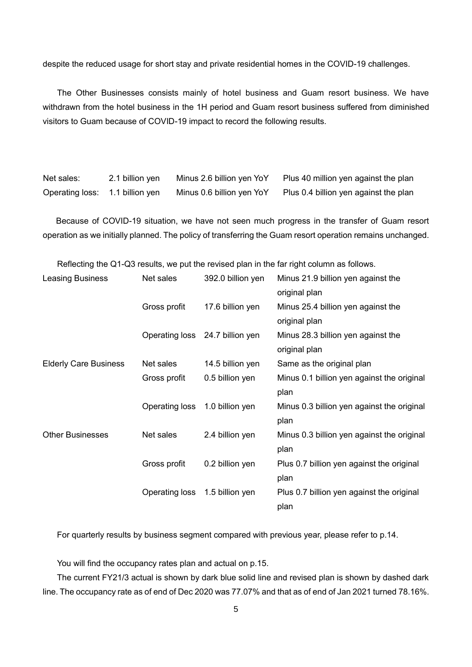despite the reduced usage for short stay and private residential homes in the COVID-19 challenges.

The Other Businesses consists mainly of hotel business and Guam resort business. We have withdrawn from the hotel business in the 1H period and Guam resort business suffered from diminished visitors to Guam because of COVID-19 impact to record the following results.

| Net sales:                      | 2.1 billion yen | Minus 2.6 billion yen YoY | Plus 40 million yen against the plan  |
|---------------------------------|-----------------|---------------------------|---------------------------------------|
| Operating loss: 1.1 billion yen |                 | Minus 0.6 billion yen YoY | Plus 0.4 billion yen against the plan |

Because of COVID-19 situation, we have not seen much progress in the transfer of Guam resort operation as we initially planned. The policy of transferring the Guam resort operation remains unchanged.

Reflecting the Q1-Q3 results, we put the revised plan in the far right column as follows.

| Leasing Business             | Net sales      | 392.0 billion yen               | Minus 21.9 billion yen against the         |
|------------------------------|----------------|---------------------------------|--------------------------------------------|
|                              |                |                                 | original plan                              |
|                              | Gross profit   | 17.6 billion yen                | Minus 25.4 billion yen against the         |
|                              |                |                                 | original plan                              |
|                              |                | Operating loss 24.7 billion yen | Minus 28.3 billion yen against the         |
|                              |                |                                 | original plan                              |
| <b>Elderly Care Business</b> | Net sales      | 14.5 billion yen                | Same as the original plan                  |
|                              | Gross profit   | 0.5 billion yen                 | Minus 0.1 billion yen against the original |
|                              |                |                                 | plan                                       |
|                              | Operating loss | 1.0 billion yen                 | Minus 0.3 billion yen against the original |
|                              |                |                                 | plan                                       |
| <b>Other Businesses</b>      | Net sales      | 2.4 billion yen                 | Minus 0.3 billion yen against the original |
|                              |                |                                 | plan                                       |
|                              | Gross profit   | 0.2 billion yen                 | Plus 0.7 billion yen against the original  |
|                              |                |                                 | plan                                       |
|                              | Operating loss | 1.5 billion yen                 | Plus 0.7 billion yen against the original  |
|                              |                |                                 | plan                                       |

For quarterly results by business segment compared with previous year, please refer to p.14.

You will find the occupancy rates plan and actual on p.15.

The current FY21/3 actual is shown by dark blue solid line and revised plan is shown by dashed dark line. The occupancy rate as of end of Dec 2020 was 77.07% and that as of end of Jan 2021 turned 78.16%.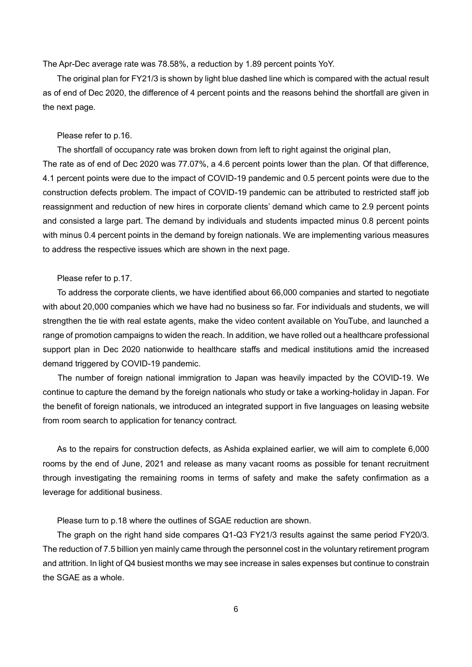The Apr-Dec average rate was 78.58%, a reduction by 1.89 percent points YoY.

The original plan for FY21/3 is shown by light blue dashed line which is compared with the actual result as of end of Dec 2020, the difference of 4 percent points and the reasons behind the shortfall are given in the next page.

#### Please refer to p.16.

The shortfall of occupancy rate was broken down from left to right against the original plan,

The rate as of end of Dec 2020 was 77.07%, a 4.6 percent points lower than the plan. Of that difference, 4.1 percent points were due to the impact of COVID-19 pandemic and 0.5 percent points were due to the construction defects problem. The impact of COVID-19 pandemic can be attributed to restricted staff job reassignment and reduction of new hires in corporate clients' demand which came to 2.9 percent points and consisted a large part. The demand by individuals and students impacted minus 0.8 percent points with minus 0.4 percent points in the demand by foreign nationals. We are implementing various measures to address the respective issues which are shown in the next page.

#### Please refer to p.17.

To address the corporate clients, we have identified about 66,000 companies and started to negotiate with about 20,000 companies which we have had no business so far. For individuals and students, we will strengthen the tie with real estate agents, make the video content available on YouTube, and launched a range of promotion campaigns to widen the reach. In addition, we have rolled out a healthcare professional support plan in Dec 2020 nationwide to healthcare staffs and medical institutions amid the increased demand triggered by COVID-19 pandemic.

The number of foreign national immigration to Japan was heavily impacted by the COVID-19. We continue to capture the demand by the foreign nationals who study or take a working-holiday in Japan. For the benefit of foreign nationals, we introduced an integrated support in five languages on leasing website from room search to application for tenancy contract.

As to the repairs for construction defects, as Ashida explained earlier, we will aim to complete 6,000 rooms by the end of June, 2021 and release as many vacant rooms as possible for tenant recruitment through investigating the remaining rooms in terms of safety and make the safety confirmation as a leverage for additional business.

Please turn to p.18 where the outlines of SGAE reduction are shown.

The graph on the right hand side compares Q1-Q3 FY21/3 results against the same period FY20/3. The reduction of 7.5 billion yen mainly came through the personnel cost in the voluntary retirement program and attrition. In light of Q4 busiest months we may see increase in sales expenses but continue to constrain the SGAE as a whole.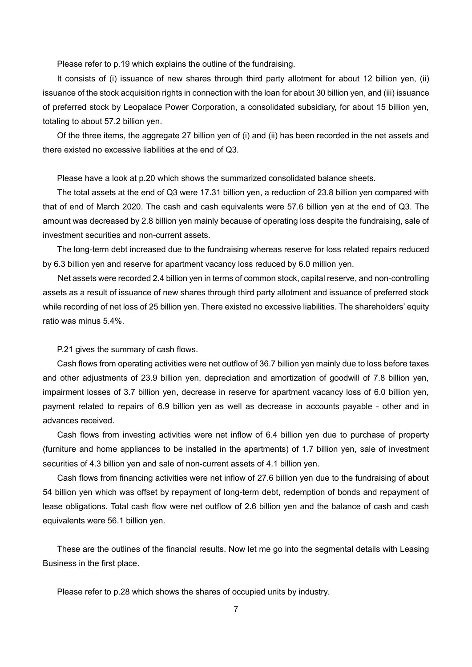Please refer to p.19 which explains the outline of the fundraising.

It consists of (i) issuance of new shares through third party allotment for about 12 billion yen, (ii) issuance of the stock acquisition rights in connection with the loan for about 30 billion yen, and (iii) issuance of preferred stock by Leopalace Power Corporation, a consolidated subsidiary, for about 15 billion yen, totaling to about 57.2 billion yen.

Of the three items, the aggregate 27 billion yen of (i) and (ii) has been recorded in the net assets and there existed no excessive liabilities at the end of Q3.

Please have a look at p.20 which shows the summarized consolidated balance sheets.

The total assets at the end of Q3 were 17.31 billion yen, a reduction of 23.8 billion yen compared with that of end of March 2020. The cash and cash equivalents were 57.6 billion yen at the end of Q3. The amount was decreased by 2.8 billion yen mainly because of operating loss despite the fundraising, sale of investment securities and non-current assets.

The long-term debt increased due to the fundraising whereas reserve for loss related repairs reduced by 6.3 billion yen and reserve for apartment vacancy loss reduced by 6.0 million yen.

Net assets were recorded 2.4 billion yen in terms of common stock, capital reserve, and non-controlling assets as a result of issuance of new shares through third party allotment and issuance of preferred stock while recording of net loss of 25 billion yen. There existed no excessive liabilities. The shareholders' equity ratio was minus 5.4%.

P.21 gives the summary of cash flows.

Cash flows from operating activities were net outflow of 36.7 billion yen mainly due to loss before taxes and other adjustments of 23.9 billion yen, depreciation and amortization of goodwill of 7.8 billion yen, impairment losses of 3.7 billion yen, decrease in reserve for apartment vacancy loss of 6.0 billion yen, payment related to repairs of 6.9 billion yen as well as decrease in accounts payable - other and in advances received.

Cash flows from investing activities were net inflow of 6.4 billion yen due to purchase of property (furniture and home appliances to be installed in the apartments) of 1.7 billion yen, sale of investment securities of 4.3 billion yen and sale of non-current assets of 4.1 billion yen.

Cash flows from financing activities were net inflow of 27.6 billion yen due to the fundraising of about 54 billion yen which was offset by repayment of long-term debt, redemption of bonds and repayment of lease obligations. Total cash flow were net outflow of 2.6 billion yen and the balance of cash and cash equivalents were 56.1 billion yen.

These are the outlines of the financial results. Now let me go into the segmental details with Leasing Business in the first place.

Please refer to p.28 which shows the shares of occupied units by industry.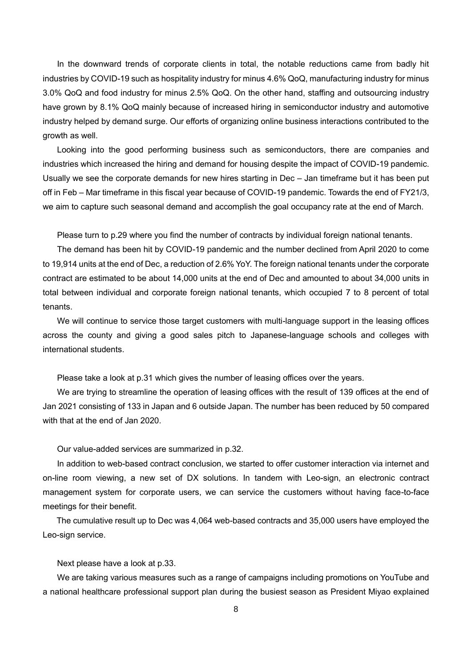In the downward trends of corporate clients in total, the notable reductions came from badly hit industries by COVID-19 such as hospitality industry for minus 4.6% QoQ, manufacturing industry for minus 3.0% QoQ and food industry for minus 2.5% QoQ. On the other hand, staffing and outsourcing industry have grown by 8.1% QoQ mainly because of increased hiring in semiconductor industry and automotive industry helped by demand surge. Our efforts of organizing online business interactions contributed to the growth as well.

Looking into the good performing business such as semiconductors, there are companies and industries which increased the hiring and demand for housing despite the impact of COVID-19 pandemic. Usually we see the corporate demands for new hires starting in Dec – Jan timeframe but it has been put off in Feb – Mar timeframe in this fiscal year because of COVID-19 pandemic. Towards the end of FY21/3, we aim to capture such seasonal demand and accomplish the goal occupancy rate at the end of March.

Please turn to p.29 where you find the number of contracts by individual foreign national tenants.

The demand has been hit by COVID-19 pandemic and the number declined from April 2020 to come to 19,914 units at the end of Dec, a reduction of 2.6% YoY. The foreign national tenants under the corporate contract are estimated to be about 14,000 units at the end of Dec and amounted to about 34,000 units in total between individual and corporate foreign national tenants, which occupied 7 to 8 percent of total tenants.

We will continue to service those target customers with multi-language support in the leasing offices across the county and giving a good sales pitch to Japanese-language schools and colleges with international students.

Please take a look at p.31 which gives the number of leasing offices over the years.

We are trying to streamline the operation of leasing offices with the result of 139 offices at the end of Jan 2021 consisting of 133 in Japan and 6 outside Japan. The number has been reduced by 50 compared with that at the end of Jan 2020.

Our value-added services are summarized in p.32.

In addition to web-based contract conclusion, we started to offer customer interaction via internet and on-line room viewing, a new set of DX solutions. In tandem with Leo-sign, an electronic contract management system for corporate users, we can service the customers without having face-to-face meetings for their benefit.

The cumulative result up to Dec was 4,064 web-based contracts and 35,000 users have employed the Leo-sign service.

Next please have a look at p.33.

We are taking various measures such as a range of campaigns including promotions on YouTube and a national healthcare professional support plan during the busiest season as President Miyao explained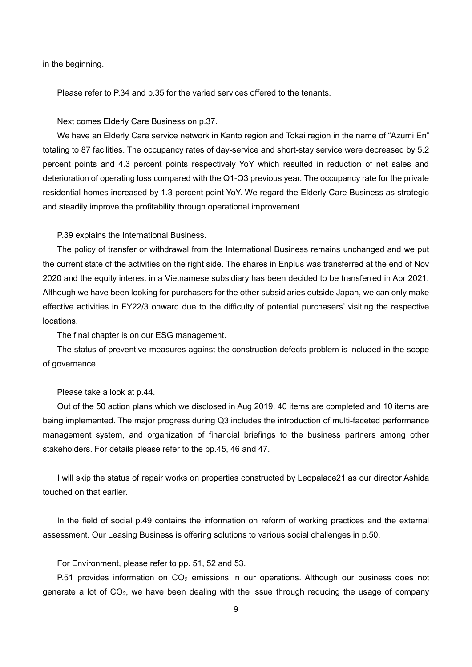in the beginning.

Please refer to P.34 and p.35 for the varied services offered to the tenants.

Next comes Elderly Care Business on p.37.

We have an Elderly Care service network in Kanto region and Tokai region in the name of "Azumi En" totaling to 87 facilities. The occupancy rates of day-service and short-stay service were decreased by 5.2 percent points and 4.3 percent points respectively YoY which resulted in reduction of net sales and deterioration of operating loss compared with the Q1-Q3 previous year. The occupancy rate for the private residential homes increased by 1.3 percent point YoY. We regard the Elderly Care Business as strategic and steadily improve the profitability through operational improvement.

P.39 explains the International Business.

The policy of transfer or withdrawal from the International Business remains unchanged and we put the current state of the activities on the right side. The shares in Enplus was transferred at the end of Nov 2020 and the equity interest in a Vietnamese subsidiary has been decided to be transferred in Apr 2021. Although we have been looking for purchasers for the other subsidiaries outside Japan, we can only make effective activities in FY22/3 onward due to the difficulty of potential purchasers' visiting the respective locations.

The final chapter is on our ESG management.

The status of preventive measures against the construction defects problem is included in the scope of governance.

Please take a look at p.44.

Out of the 50 action plans which we disclosed in Aug 2019, 40 items are completed and 10 items are being implemented. The major progress during Q3 includes the introduction of multi-faceted performance management system, and organization of financial briefings to the business partners among other stakeholders. For details please refer to the pp.45, 46 and 47.

I will skip the status of repair works on properties constructed by Leopalace21 as our director Ashida touched on that earlier.

In the field of social p.49 contains the information on reform of working practices and the external assessment. Our Leasing Business is offering solutions to various social challenges in p.50.

For Environment, please refer to pp. 51, 52 and 53.

P.51 provides information on  $CO<sub>2</sub>$  emissions in our operations. Although our business does not generate a lot of CO2, we have been dealing with the issue through reducing the usage of company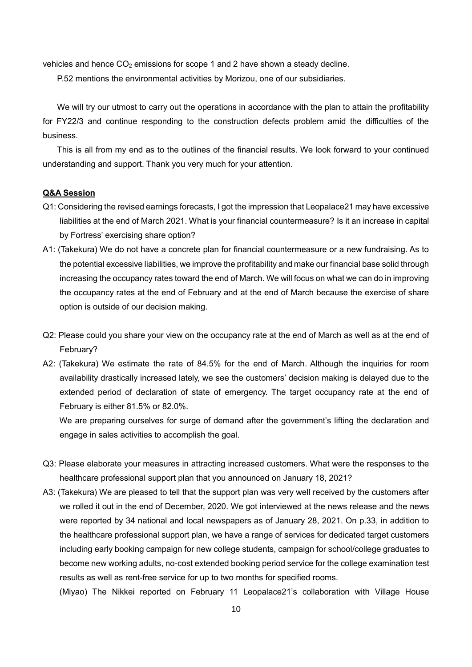vehicles and hence  $CO<sub>2</sub>$  emissions for scope 1 and 2 have shown a steady decline.

P.52 mentions the environmental activities by Morizou, one of our subsidiaries.

We will try our utmost to carry out the operations in accordance with the plan to attain the profitability for FY22/3 and continue responding to the construction defects problem amid the difficulties of the business.

This is all from my end as to the outlines of the financial results. We look forward to your continued understanding and support. Thank you very much for your attention.

# **Q&A Session**

- Q1: Considering the revised earnings forecasts, I got the impression that Leopalace21 may have excessive liabilities at the end of March 2021. What is your financial countermeasure? Is it an increase in capital by Fortress' exercising share option?
- A1: (Takekura) We do not have a concrete plan for financial countermeasure or a new fundraising. As to the potential excessive liabilities, we improve the profitability and make our financial base solid through increasing the occupancy rates toward the end of March. We will focus on what we can do in improving the occupancy rates at the end of February and at the end of March because the exercise of share option is outside of our decision making.
- Q2: Please could you share your view on the occupancy rate at the end of March as well as at the end of February?
- A2: (Takekura) We estimate the rate of 84.5% for the end of March. Although the inquiries for room availability drastically increased lately, we see the customers' decision making is delayed due to the extended period of declaration of state of emergency. The target occupancy rate at the end of February is either 81.5% or 82.0%.

We are preparing ourselves for surge of demand after the government's lifting the declaration and engage in sales activities to accomplish the goal.

- Q3: Please elaborate your measures in attracting increased customers. What were the responses to the healthcare professional support plan that you announced on January 18, 2021?
- A3: (Takekura) We are pleased to tell that the support plan was very well received by the customers after we rolled it out in the end of December, 2020. We got interviewed at the news release and the news were reported by 34 national and local newspapers as of January 28, 2021. On p.33, in addition to the healthcare professional support plan, we have a range of services for dedicated target customers including early booking campaign for new college students, campaign for school/college graduates to become new working adults, no-cost extended booking period service for the college examination test results as well as rent-free service for up to two months for specified rooms.

(Miyao) The Nikkei reported on February 11 Leopalace21's collaboration with Village House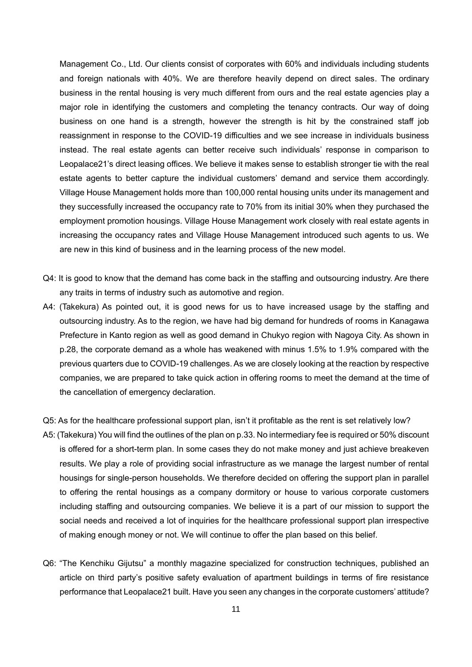Management Co., Ltd. Our clients consist of corporates with 60% and individuals including students and foreign nationals with 40%. We are therefore heavily depend on direct sales. The ordinary business in the rental housing is very much different from ours and the real estate agencies play a major role in identifying the customers and completing the tenancy contracts. Our way of doing business on one hand is a strength, however the strength is hit by the constrained staff job reassignment in response to the COVID-19 difficulties and we see increase in individuals business instead. The real estate agents can better receive such individuals' response in comparison to Leopalace21's direct leasing offices. We believe it makes sense to establish stronger tie with the real estate agents to better capture the individual customers' demand and service them accordingly. Village House Management holds more than 100,000 rental housing units under its management and they successfully increased the occupancy rate to 70% from its initial 30% when they purchased the employment promotion housings. Village House Management work closely with real estate agents in increasing the occupancy rates and Village House Management introduced such agents to us. We are new in this kind of business and in the learning process of the new model.

- Q4: It is good to know that the demand has come back in the staffing and outsourcing industry. Are there any traits in terms of industry such as automotive and region.
- A4: (Takekura) As pointed out, it is good news for us to have increased usage by the staffing and outsourcing industry. As to the region, we have had big demand for hundreds of rooms in Kanagawa Prefecture in Kanto region as well as good demand in Chukyo region with Nagoya City. As shown in p.28, the corporate demand as a whole has weakened with minus 1.5% to 1.9% compared with the previous quarters due to COVID-19 challenges. As we are closely looking at the reaction by respective companies, we are prepared to take quick action in offering rooms to meet the demand at the time of the cancellation of emergency declaration.
- Q5: As for the healthcare professional support plan, isn't it profitable as the rent is set relatively low?
- A5: (Takekura) You will find the outlines of the plan on p.33. No intermediary fee is required or 50% discount is offered for a short-term plan. In some cases they do not make money and just achieve breakeven results. We play a role of providing social infrastructure as we manage the largest number of rental housings for single-person households. We therefore decided on offering the support plan in parallel to offering the rental housings as a company dormitory or house to various corporate customers including staffing and outsourcing companies. We believe it is a part of our mission to support the social needs and received a lot of inquiries for the healthcare professional support plan irrespective of making enough money or not. We will continue to offer the plan based on this belief.
- Q6: "The Kenchiku Gijutsu" a monthly magazine specialized for construction techniques, published an article on third party's positive safety evaluation of apartment buildings in terms of fire resistance performance that Leopalace21 built. Have you seen any changes in the corporate customers' attitude?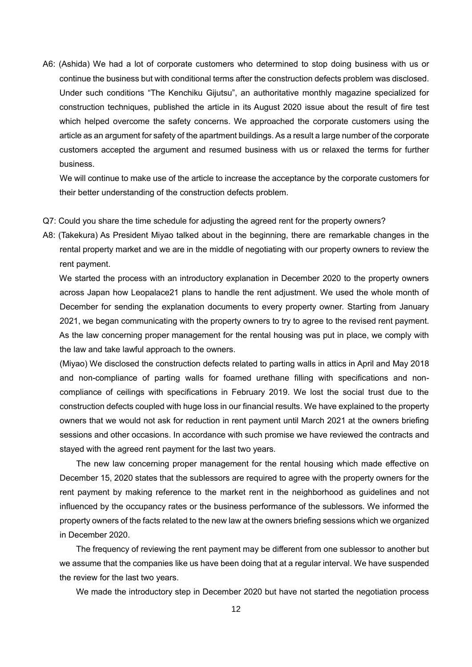A6: (Ashida) We had a lot of corporate customers who determined to stop doing business with us or continue the business but with conditional terms after the construction defects problem was disclosed. Under such conditions "The Kenchiku Gijutsu", an authoritative monthly magazine specialized for construction techniques, published the article in its August 2020 issue about the result of fire test which helped overcome the safety concerns. We approached the corporate customers using the article as an argument for safety of the apartment buildings. As a result a large number of the corporate customers accepted the argument and resumed business with us or relaxed the terms for further business.

We will continue to make use of the article to increase the acceptance by the corporate customers for their better understanding of the construction defects problem.

- Q7: Could you share the time schedule for adjusting the agreed rent for the property owners?
- A8: (Takekura) As President Miyao talked about in the beginning, there are remarkable changes in the rental property market and we are in the middle of negotiating with our property owners to review the rent payment.

 We started the process with an introductory explanation in December 2020 to the property owners across Japan how Leopalace21 plans to handle the rent adjustment. We used the whole month of December for sending the explanation documents to every property owner. Starting from January 2021, we began communicating with the property owners to try to agree to the revised rent payment. As the law concerning proper management for the rental housing was put in place, we comply with the law and take lawful approach to the owners.

(Miyao) We disclosed the construction defects related to parting walls in attics in April and May 2018 and non-compliance of parting walls for foamed urethane filling with specifications and noncompliance of ceilings with specifications in February 2019. We lost the social trust due to the construction defects coupled with huge loss in our financial results. We have explained to the property owners that we would not ask for reduction in rent payment until March 2021 at the owners briefing sessions and other occasions. In accordance with such promise we have reviewed the contracts and stayed with the agreed rent payment for the last two years.

 The new law concerning proper management for the rental housing which made effective on December 15, 2020 states that the sublessors are required to agree with the property owners for the rent payment by making reference to the market rent in the neighborhood as guidelines and not influenced by the occupancy rates or the business performance of the sublessors. We informed the property owners of the facts related to the new law at the owners briefing sessions which we organized in December 2020.

 The frequency of reviewing the rent payment may be different from one sublessor to another but we assume that the companies like us have been doing that at a regular interval. We have suspended the review for the last two years.

We made the introductory step in December 2020 but have not started the negotiation process